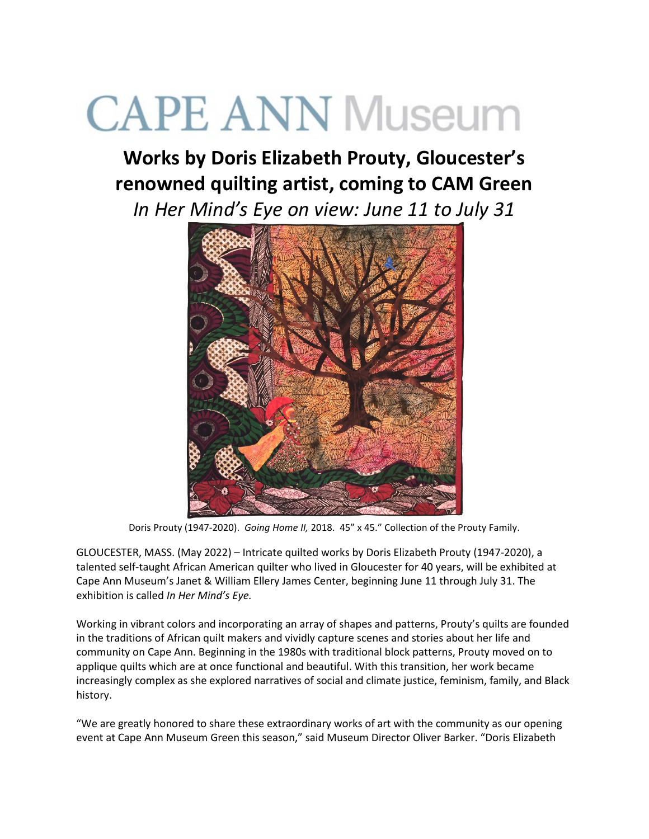# **CAPE ANN Museum**

# **Works by Doris Elizabeth Prouty, Gloucester's renowned quilting artist, coming to CAM Green**

*In Her Mind's Eye on view: June 11 to July 31*



Doris Prouty (1947-2020). *Going Home II,* 2018. 45" x 45." Collection of the Prouty Family.

GLOUCESTER, MASS. (May 2022) – Intricate quilted works by Doris Elizabeth Prouty (1947-2020), a talented self-taught African American quilter who lived in Gloucester for 40 years, will be exhibited at Cape Ann Museum's Janet & William Ellery James Center, beginning June 11 through July 31. The exhibition is called *In Her Mind's Eye.*

Working in vibrant colors and incorporating an array of shapes and patterns, Prouty's quilts are founded in the traditions of African quilt makers and vividly capture scenes and stories about her life and community on Cape Ann. Beginning in the 1980s with traditional block patterns, Prouty moved on to applique quilts which are at once functional and beautiful. With this transition, her work became increasingly complex as she explored narratives of social and climate justice, feminism, family, and Black history.

"We are greatly honored to share these extraordinary works of art with the community as our opening event at Cape Ann Museum Green this season," said Museum Director Oliver Barker. "Doris Elizabeth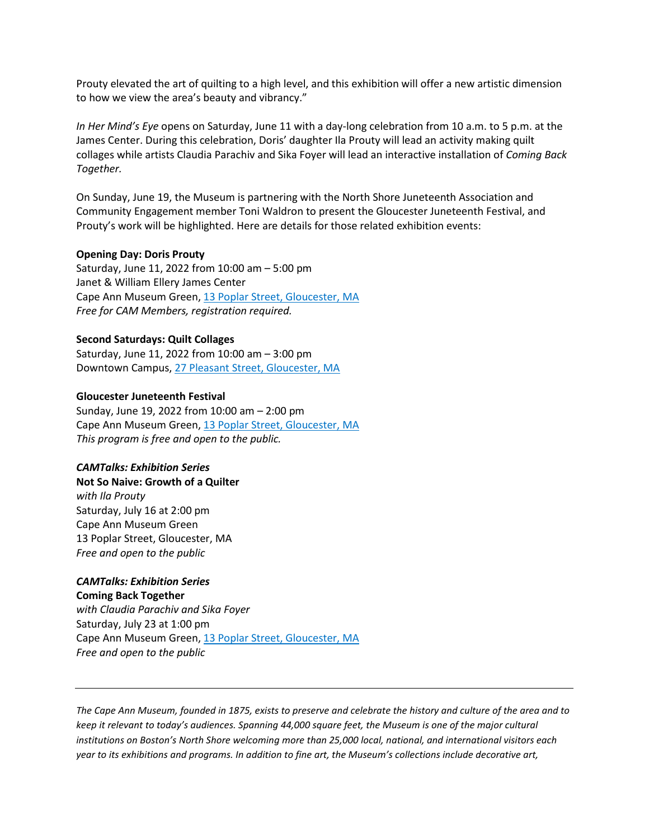Prouty elevated the art of quilting to a high level, and this exhibition will offer a new artistic dimension to how we view the area's beauty and vibrancy."

*In Her Mind's Eye* opens on Saturday, June 11 with a day-long celebration from 10 a.m. to 5 p.m. at the James Center. During this celebration, Doris' daughter Ila Prouty will lead an activity making quilt collages while artists Claudia Parachiv and Sika Foyer will lead an interactive installation of *Coming Back Together.*

On Sunday, June 19, the Museum is partnering with the North Shore Juneteenth Association and Community Engagement member Toni Waldron to present the Gloucester Juneteenth Festival, and Prouty's work will be highlighted. Here are details for those related exhibition events:

# **Opening Day: Doris Prouty**

Saturday, June 11, 2022 from 10:00 am – 5:00 pm Janet & William Ellery James Center Cape Ann Museum Green, [13 Poplar Street, Gloucester, MA](webextlink://13%20Poplar%20Street,%20Gloucester,%20MA/) *Free for CAM Members, registration required.*

# **Second Saturdays: Quilt Collages**

Saturday, June 11, 2022 from 10:00 am – 3:00 pm Downtown Campus, [27 Pleasant Street, Gloucester, MA](webextlink://27%20Pleasant%20Street,%20Gloucester,%20MA/)

# **Gloucester Juneteenth Festival**

Sunday, June 19, 2022 from 10:00 am – 2:00 pm Cape Ann Museum Green, [13 Poplar Street, Gloucester, MA](webextlink://13%20Poplar%20Street,%20Gloucester,%20MA/) *This program is free and open to the public.*

# *CAMTalks: Exhibition Series*

**Not So Naive: Growth of a Quilter** *with Ila Prouty* Saturday, July 16 at 2:00 pm Cape Ann Museum Green 13 Poplar Street, Gloucester, MA *Free and open to the public*

# *CAMTalks: Exhibition Series* **Coming Back Together**

*with Claudia Parachiv and Sika Foyer* Saturday, July 23 at 1:00 pm Cape Ann Museum Green, [13 Poplar Street, Gloucester, MA](webextlink://13%20Poplar%20Street,%20Gloucester,%20MA/) *Free and open to the public*

*The Cape Ann Museum, founded in 1875, exists to preserve and celebrate the history and culture of the area and to keep it relevant to today's audiences. Spanning 44,000 square feet, the Museum is one of the major cultural institutions on Boston's North Shore welcoming more than 25,000 local, national, and international visitors each year to its exhibitions and programs. In addition to fine art, the Museum's collections include decorative art,*